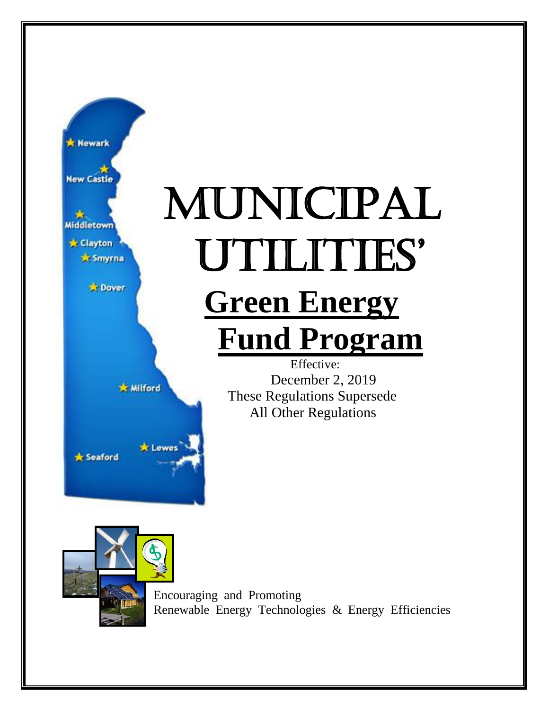

# Municipal Utilities' **Green Energy Fund Program**

Effective: December 2, 2019 These Regulations Supersede All Other Regulations



**x** Seaford

**Wilford** 

\* Lewes

Encouraging and Promoting Renewable Energy Technologies & Energy Efficiencies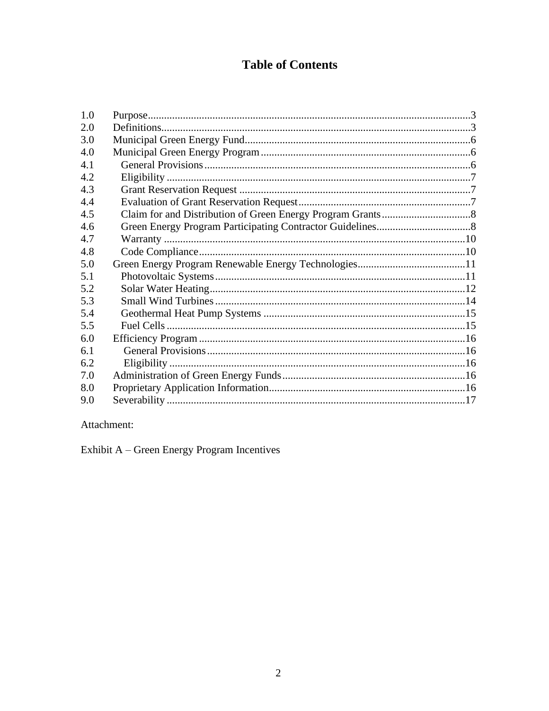# **Table of Contents**

| 1.0 |  |
|-----|--|
| 2.0 |  |
| 3.0 |  |
| 4.0 |  |
| 4.1 |  |
| 4.2 |  |
| 4.3 |  |
| 4.4 |  |
| 4.5 |  |
| 4.6 |  |
| 4.7 |  |
| 4.8 |  |
| 5.0 |  |
| 5.1 |  |
| 5.2 |  |
| 5.3 |  |
| 5.4 |  |
| 5.5 |  |
| 6.0 |  |
| 6.1 |  |
| 6.2 |  |
| 7.0 |  |
| 8.0 |  |
| 9.0 |  |
|     |  |

Attachment:

Exhibit  $\mathbf{A}-\mathbf{Green}$  Energy Program Incentives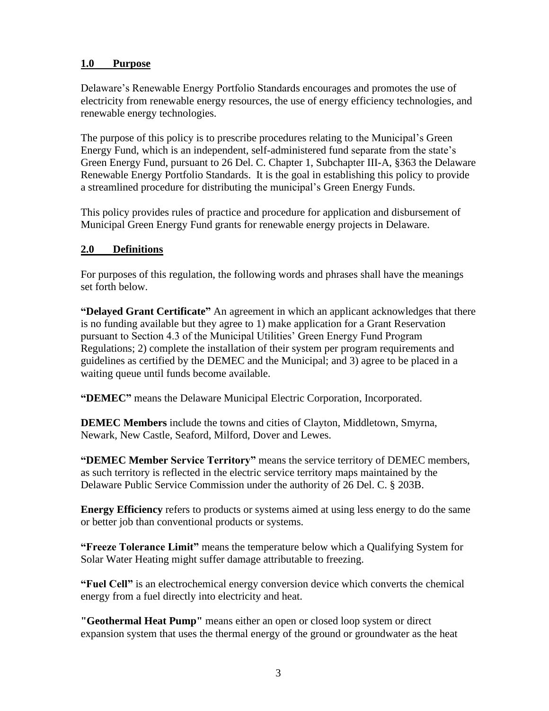# <span id="page-2-0"></span>**1.0 Purpose**

Delaware's Renewable Energy Portfolio Standards encourages and promotes the use of electricity from renewable energy resources, the use of energy efficiency technologies, and renewable energy technologies.

The purpose of this policy is to prescribe procedures relating to the Municipal's Green Energy Fund, which is an independent, self-administered fund separate from the state's Green Energy Fund, pursuant to 26 Del. C. Chapter 1, Subchapter III-A, §363 the Delaware Renewable Energy Portfolio Standards. It is the goal in establishing this policy to provide a streamlined procedure for distributing the municipal's Green Energy Funds.

This policy provides rules of practice and procedure for application and disbursement of Municipal Green Energy Fund grants for renewable energy projects in Delaware.

# <span id="page-2-1"></span>**2.0 Definitions**

For purposes of this regulation, the following words and phrases shall have the meanings set forth below.

**"Delayed Grant Certificate"** An agreement in which an applicant acknowledges that there is no funding available but they agree to 1) make application for a Grant Reservation pursuant to Section 4.3 of the Municipal Utilities' Green Energy Fund Program Regulations; 2) complete the installation of their system per program requirements and guidelines as certified by the DEMEC and the Municipal; and 3) agree to be placed in a waiting queue until funds become available.

**"DEMEC"** means the Delaware Municipal Electric Corporation, Incorporated.

**DEMEC Members** include the towns and cities of Clayton, Middletown, Smyrna, Newark, New Castle, Seaford, Milford, Dover and Lewes.

**"DEMEC Member Service Territory"** means the service territory of DEMEC members, as such territory is reflected in the electric service territory maps maintained by the Delaware Public Service Commission under the authority of 26 Del. C. § 203B.

**Energy Efficiency** refers to products or systems aimed at using less energy to do the same or better job than conventional products or systems.

**"Freeze Tolerance Limit"** means the temperature below which a Qualifying System for Solar Water Heating might suffer damage attributable to freezing.

**"Fuel Cell"** is an electrochemical energy conversion device which converts the chemical energy from a fuel directly into electricity and heat.

**"Geothermal Heat Pump"** means either an open or closed loop system or direct expansion system that uses the thermal energy of the ground or groundwater as the heat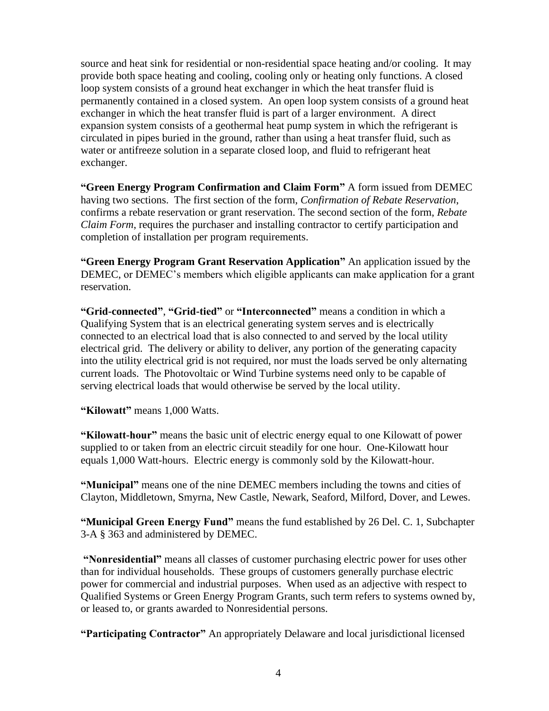source and heat sink for residential or non-residential space heating and/or cooling. It may provide both space heating and cooling, cooling only or heating only functions. A closed loop system consists of a ground heat exchanger in which the heat transfer fluid is permanently contained in a closed system. An open loop system consists of a ground heat exchanger in which the heat transfer fluid is part of a larger environment. A direct expansion system consists of a geothermal heat pump system in which the refrigerant is circulated in pipes buried in the ground, rather than using a heat transfer fluid, such as water or antifreeze solution in a separate closed loop, and fluid to refrigerant heat exchanger.

**"Green Energy Program Confirmation and Claim Form"** A form issued from DEMEC having two sections. The first section of the form, *Confirmation of Rebate Reservation*, confirms a rebate reservation or grant reservation. The second section of the form, *Rebate Claim Form*, requires the purchaser and installing contractor to certify participation and completion of installation per program requirements.

**"Green Energy Program Grant Reservation Application"** An application issued by the DEMEC, or DEMEC's members which eligible applicants can make application for a grant reservation.

**"Grid-connected"**, **"Grid-tied"** or **"Interconnected"** means a condition in which a Qualifying System that is an electrical generating system serves and is electrically connected to an electrical load that is also connected to and served by the local utility electrical grid. The delivery or ability to deliver, any portion of the generating capacity into the utility electrical grid is not required, nor must the loads served be only alternating current loads. The Photovoltaic or Wind Turbine systems need only to be capable of serving electrical loads that would otherwise be served by the local utility.

**"Kilowatt"** means 1,000 Watts.

**"Kilowatt-hour"** means the basic unit of electric energy equal to one Kilowatt of power supplied to or taken from an electric circuit steadily for one hour. One-Kilowatt hour equals 1,000 Watt-hours. Electric energy is commonly sold by the Kilowatt-hour.

**"Municipal"** means one of the nine DEMEC members including the towns and cities of Clayton, Middletown, Smyrna, New Castle, Newark, Seaford, Milford, Dover, and Lewes.

**"Municipal Green Energy Fund"** means the fund established by 26 Del. C. 1, Subchapter 3-A § 363 and administered by DEMEC.

**"Nonresidential"** means all classes of customer purchasing electric power for uses other than for individual households. These groups of customers generally purchase electric power for commercial and industrial purposes. When used as an adjective with respect to Qualified Systems or Green Energy Program Grants, such term refers to systems owned by, or leased to, or grants awarded to Nonresidential persons.

**"Participating Contractor"** An appropriately Delaware and local jurisdictional licensed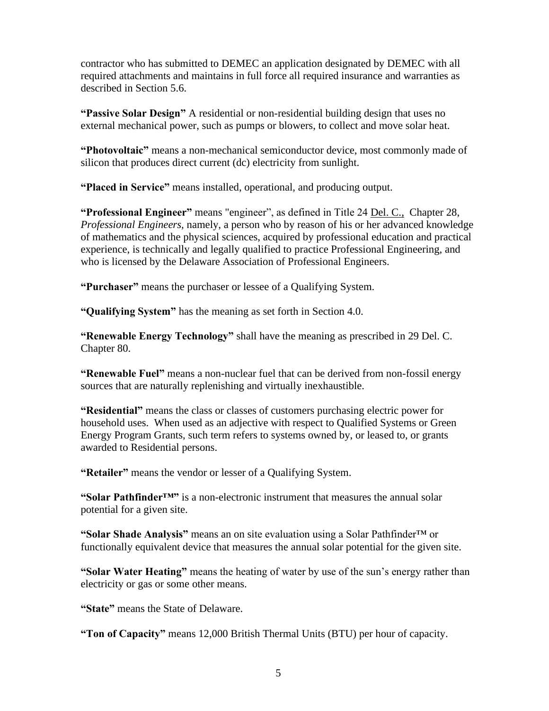contractor who has submitted to DEMEC an application designated by DEMEC with all required attachments and maintains in full force all required insurance and warranties as described in Section 5.6.

**"Passive Solar Design"** A residential or non-residential building design that uses no external mechanical power, such as pumps or blowers, to collect and move solar heat.

**"Photovoltaic"** means a non-mechanical semiconductor device, most commonly made of silicon that produces direct current (dc) electricity from sunlight.

**"Placed in Service"** means installed, operational, and producing output.

**"Professional Engineer"** means "engineer", as defined in Title 24 Del. C., Chapter 28, *Professional Engineers,* namely, a person who by reason of his or her advanced knowledge of mathematics and the physical sciences, acquired by professional education and practical experience, is technically and legally qualified to practice Professional Engineering, and who is licensed by the Delaware Association of Professional Engineers.

**"Purchaser"** means the purchaser or lessee of a Qualifying System.

**"Qualifying System"** has the meaning as set forth in Section 4.0.

**"Renewable Energy Technology"** shall have the meaning as prescribed in 29 Del. C. Chapter 80.

**"Renewable Fuel"** means a non-nuclear fuel that can be derived from non-fossil energy sources that are naturally replenishing and virtually inexhaustible.

**"Residential"** means the class or classes of customers purchasing electric power for household uses. When used as an adjective with respect to Qualified Systems or Green Energy Program Grants, such term refers to systems owned by, or leased to, or grants awarded to Residential persons.

**"Retailer"** means the vendor or lesser of a Qualifying System.

**"Solar Pathfinder™"** is a non-electronic instrument that measures the annual solar potential for a given site.

**"Solar Shade Analysis"** means an on site evaluation using a Solar Pathfinder™ or functionally equivalent device that measures the annual solar potential for the given site.

**"Solar Water Heating"** means the heating of water by use of the sun's energy rather than electricity or gas or some other means.

**"State"** means the State of Delaware.

**"Ton of Capacity"** means 12,000 British Thermal Units (BTU) per hour of capacity.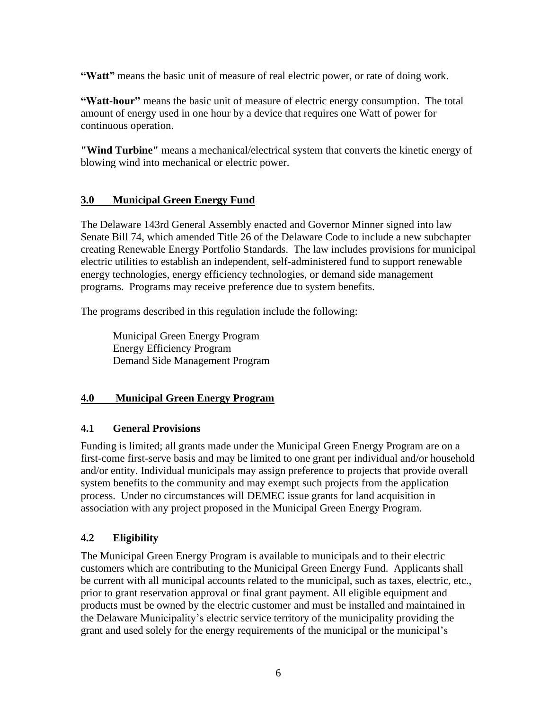**"Watt"** means the basic unit of measure of real electric power, or rate of doing work.

**"Watt-hour"** means the basic unit of measure of electric energy consumption. The total amount of energy used in one hour by a device that requires one Watt of power for continuous operation.

**"Wind Turbine"** means a mechanical/electrical system that converts the kinetic energy of blowing wind into mechanical or electric power.

# <span id="page-5-0"></span>**3.0 Municipal Green Energy Fund**

The Delaware 143rd General Assembly enacted and Governor Minner signed into law Senate Bill 74, which amended Title 26 of the Delaware Code to include a new subchapter creating Renewable Energy Portfolio Standards. The law includes provisions for municipal electric utilities to establish an independent, self-administered fund to support renewable energy technologies, energy efficiency technologies, or demand side management programs. Programs may receive preference due to system benefits.

The programs described in this regulation include the following:

Municipal Green Energy Program Energy Efficiency Program Demand Side Management Program

# <span id="page-5-1"></span>**4.0 Municipal Green Energy Program**

# <span id="page-5-2"></span>**4.1 General Provisions**

Funding is limited; all grants made under the Municipal Green Energy Program are on a first-come first-serve basis and may be limited to one grant per individual and/or household and/or entity. Individual municipals may assign preference to projects that provide overall system benefits to the community and may exempt such projects from the application process. Under no circumstances will DEMEC issue grants for land acquisition in association with any project proposed in the Municipal Green Energy Program.

# <span id="page-5-3"></span>**4.2 Eligibility**

The Municipal Green Energy Program is available to municipals and to their electric customers which are contributing to the Municipal Green Energy Fund. Applicants shall be current with all municipal accounts related to the municipal, such as taxes, electric, etc., prior to grant reservation approval or final grant payment. All eligible equipment and products must be owned by the electric customer and must be installed and maintained in the Delaware Municipality's electric service territory of the municipality providing the grant and used solely for the energy requirements of the municipal or the municipal's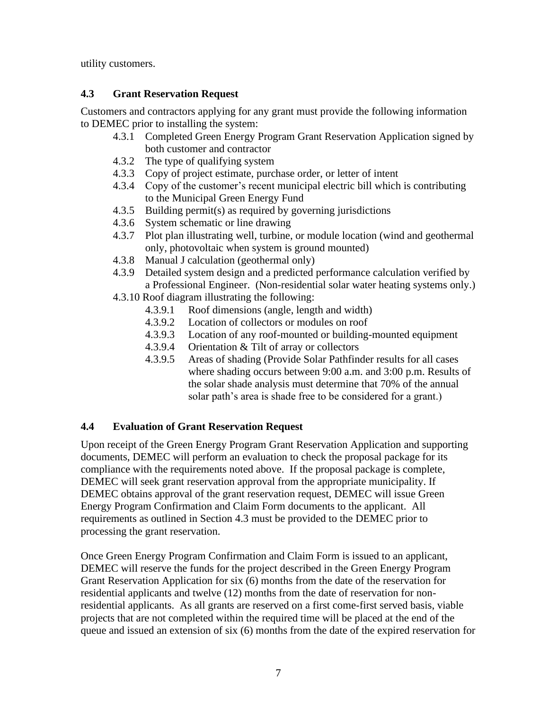utility customers.

# <span id="page-6-0"></span>**4.3 Grant Reservation Request**

Customers and contractors applying for any grant must provide the following information to DEMEC prior to installing the system:

- 4.3.1 Completed Green Energy Program Grant Reservation Application signed by both customer and contractor
- 4.3.2 The type of qualifying system
- 4.3.3 Copy of project estimate, purchase order, or letter of intent
- 4.3.4 Copy of the customer's recent municipal electric bill which is contributing to the Municipal Green Energy Fund
- 4.3.5 Building permit(s) as required by governing jurisdictions
- 4.3.6 System schematic or line drawing
- 4.3.7 Plot plan illustrating well, turbine, or module location (wind and geothermal only, photovoltaic when system is ground mounted)
- 4.3.8 Manual J calculation (geothermal only)
- 4.3.9 Detailed system design and a predicted performance calculation verified by a Professional Engineer. (Non-residential solar water heating systems only.)
- 4.3.10 Roof diagram illustrating the following:
	- 4.3.9.1 Roof dimensions (angle, length and width)
	- 4.3.9.2 Location of collectors or modules on roof
	- 4.3.9.3 Location of any roof-mounted or building-mounted equipment
	- 4.3.9.4 Orientation & Tilt of array or collectors
	- 4.3.9.5 Areas of shading (Provide Solar Pathfinder results for all cases where shading occurs between 9:00 a.m. and 3:00 p.m. Results of the solar shade analysis must determine that 70% of the annual solar path's area is shade free to be considered for a grant.)

# <span id="page-6-1"></span>**4.4 Evaluation of Grant Reservation Request**

Upon receipt of the Green Energy Program Grant Reservation Application and supporting documents, DEMEC will perform an evaluation to check the proposal package for its compliance with the requirements noted above. If the proposal package is complete, DEMEC will seek grant reservation approval from the appropriate municipality. If DEMEC obtains approval of the grant reservation request, DEMEC will issue Green Energy Program Confirmation and Claim Form documents to the applicant. All requirements as outlined in Section 4.3 must be provided to the DEMEC prior to processing the grant reservation.

Once Green Energy Program Confirmation and Claim Form is issued to an applicant, DEMEC will reserve the funds for the project described in the Green Energy Program Grant Reservation Application for six (6) months from the date of the reservation for residential applicants and twelve (12) months from the date of reservation for nonresidential applicants. As all grants are reserved on a first come-first served basis, viable projects that are not completed within the required time will be placed at the end of the queue and issued an extension of six  $(6)$  months from the date of the expired reservation for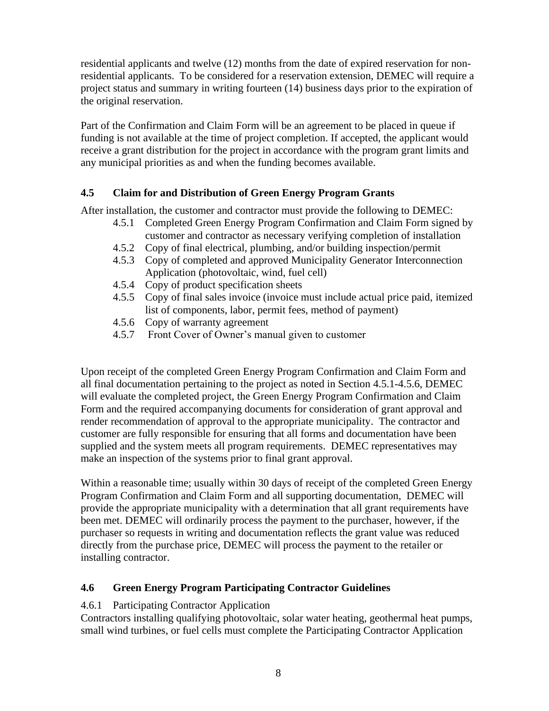residential applicants and twelve (12) months from the date of expired reservation for nonresidential applicants. To be considered for a reservation extension, DEMEC will require a project status and summary in writing fourteen (14) business days prior to the expiration of the original reservation.

Part of the Confirmation and Claim Form will be an agreement to be placed in queue if funding is not available at the time of project completion. If accepted, the applicant would receive a grant distribution for the project in accordance with the program grant limits and any municipal priorities as and when the funding becomes available.

# <span id="page-7-0"></span>**4.5 Claim for and Distribution of Green Energy Program Grants**

After installation, the customer and contractor must provide the following to DEMEC:

- 4.5.1 Completed Green Energy Program Confirmation and Claim Form signed by customer and contractor as necessary verifying completion of installation
- 4.5.2 Copy of final electrical, plumbing, and/or building inspection/permit
- 4.5.3 Copy of completed and approved Municipality Generator Interconnection Application (photovoltaic, wind, fuel cell)
- 4.5.4 Copy of product specification sheets
- 4.5.5 Copy of final sales invoice (invoice must include actual price paid, itemized list of components, labor, permit fees, method of payment)
- 4.5.6 Copy of warranty agreement
- 4.5.7 Front Cover of Owner's manual given to customer

Upon receipt of the completed Green Energy Program Confirmation and Claim Form and all final documentation pertaining to the project as noted in Section 4.5.1-4.5.6, DEMEC will evaluate the completed project, the Green Energy Program Confirmation and Claim Form and the required accompanying documents for consideration of grant approval and render recommendation of approval to the appropriate municipality. The contractor and customer are fully responsible for ensuring that all forms and documentation have been supplied and the system meets all program requirements. DEMEC representatives may make an inspection of the systems prior to final grant approval.

Within a reasonable time; usually within 30 days of receipt of the completed Green Energy Program Confirmation and Claim Form and all supporting documentation, DEMEC will provide the appropriate municipality with a determination that all grant requirements have been met. DEMEC will ordinarily process the payment to the purchaser, however, if the purchaser so requests in writing and documentation reflects the grant value was reduced directly from the purchase price, DEMEC will process the payment to the retailer or installing contractor.

# <span id="page-7-1"></span>**4.6 Green Energy Program Participating Contractor Guidelines**

# 4.6.1 Participating Contractor Application

Contractors installing qualifying photovoltaic, solar water heating, geothermal heat pumps, small wind turbines, or fuel cells must complete the Participating Contractor Application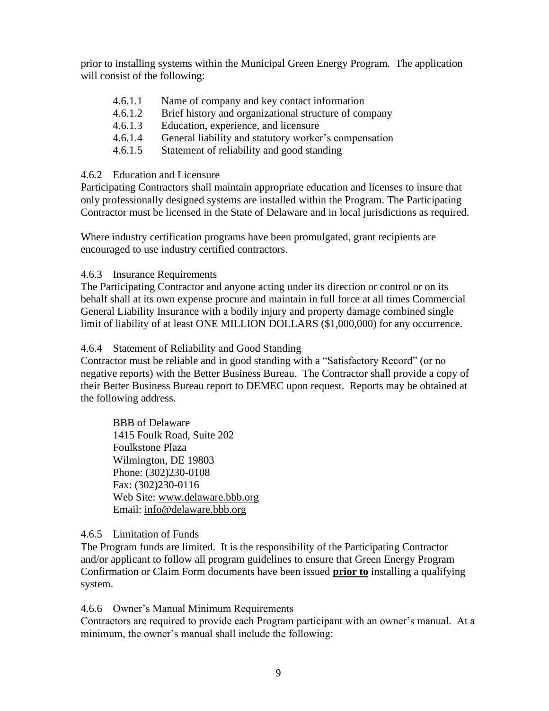prior to installing systems within the Municipal Green Energy Program. The application will consist of the following:

- 4.6.1.1 Name of company and key contact information
- 4.6.1.2 Brief history and organizational structure of company
- 4.6.1.3 Education, experience, and licensure
- 4.6.1.4 General liability and statutory worker's compensation
- 4.6.1.5 Statement of reliability and good standing

#### 4.6.2 Education and Licensure

Participating Contractors shall maintain appropriate education and licenses to insure that only professionally designed systems are installed within the Program. The Participating Contractor must be licensed in the State of Delaware and in local jurisdictions as required.

Where industry certification programs have been promulgated, grant recipients are encouraged to use industry certified contractors.

# 4.6.3 Insurance Requirements

The Participating Contractor and anyone acting under its direction or control or on its behalf shall at its own expense procure and maintain in full force at all times Commercial General Liability Insurance with a bodily injury and property damage combined single limit of liability of at least ONE MILLION DOLLARS (\$1,000,000) for any occurrence.

# 4.6.4 Statement of Reliability and Good Standing

Contractor must be reliable and in good standing with a "Satisfactory Record" (or no negative reports) with the Better Business Bureau. The Contractor shall provide a copy of their Better Business Bureau report to DEMEC upon request. Reports may be obtained at the following address.

BBB of Delaware 1415 Foulk Road, Suite 202 Foulkstone Plaza Wilmington, DE 19803 Phone: (302)230-0108 Fax: (302)230-0116 Web Site: [www.delaware.bbb.org](http://www.delaware.bbb.org/) Email: [info@delaware.bbb.org](mailto:info@delaware.bbb.org)

# 4.6.5 Limitation of Funds

The Program funds are limited. It is the responsibility of the Participating Contractor and/or applicant to follow all program guidelines to ensure that Green Energy Program Confirmation or Claim Form documents have been issued **prior to** installing a qualifying system.

4.6.6 Owner's Manual Minimum Requirements

Contractors are required to provide each Program participant with an owner's manual. At a minimum, the owner's manual shall include the following: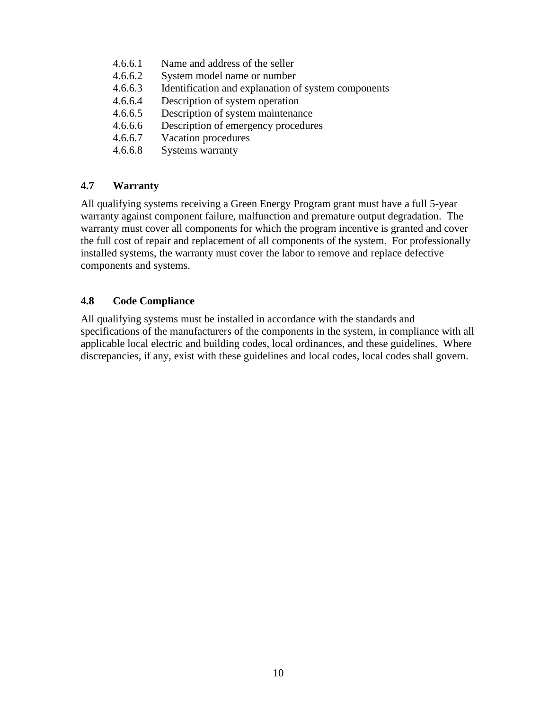- 4.6.6.1 Name and address of the seller
- 4.6.6.2 System model name or number
- 4.6.6.3 Identification and explanation of system components
- 4.6.6.4 Description of system operation
- 4.6.6.5 Description of system maintenance
- 4.6.6.6 Description of emergency procedures
- 4.6.6.7 Vacation procedures
- 4.6.6.8 Systems warranty

# <span id="page-9-0"></span>**4.7 Warranty**

All qualifying systems receiving a Green Energy Program grant must have a full 5-year warranty against component failure, malfunction and premature output degradation. The warranty must cover all components for which the program incentive is granted and cover the full cost of repair and replacement of all components of the system. For professionally installed systems, the warranty must cover the labor to remove and replace defective components and systems.

# <span id="page-9-1"></span>**4.8 Code Compliance**

<span id="page-9-2"></span>All qualifying systems must be installed in accordance with the standards and specifications of the manufacturers of the components in the system, in compliance with all applicable local electric and building codes, local ordinances, and these guidelines. Where discrepancies, if any, exist with these guidelines and local codes, local codes shall govern.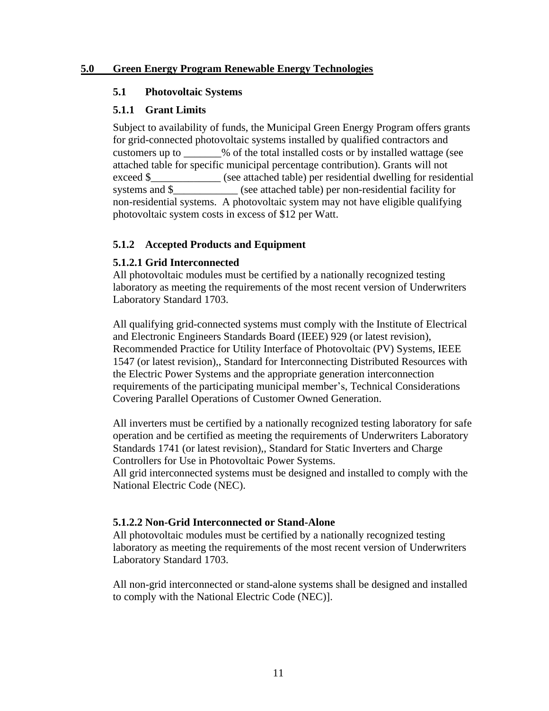#### <span id="page-10-0"></span>**5.0 Green Energy Program Renewable Energy Technologies**

#### **5.1 Photovoltaic Systems**

#### **5.1.1 Grant Limits**

Subject to availability of funds, the Municipal Green Energy Program offers grants for grid-connected photovoltaic systems installed by qualified contractors and customers up to \_\_\_\_\_\_\_% of the total installed costs or by installed wattage (see attached table for specific municipal percentage contribution). Grants will not exceed \$\_\_\_\_\_\_\_\_\_\_\_\_\_ (see attached table) per residential dwelling for residential systems and \$ \_\_\_\_\_\_\_\_\_\_ (see attached table) per non-residential facility for non-residential systems. A photovoltaic system may not have eligible qualifying photovoltaic system costs in excess of \$12 per Watt.

# **5.1.2 Accepted Products and Equipment**

# **5.1.2.1 Grid Interconnected**

All photovoltaic modules must be certified by a nationally recognized testing laboratory as meeting the requirements of the most recent version of Underwriters Laboratory Standard 1703.

All qualifying grid-connected systems must comply with the Institute of Electrical and Electronic Engineers Standards Board (IEEE) 929 (or latest revision), Recommended Practice for Utility Interface of Photovoltaic (PV) Systems, IEEE 1547 (or latest revision),, Standard for Interconnecting Distributed Resources with the Electric Power Systems and the appropriate generation interconnection requirements of the participating municipal member's, Technical Considerations Covering Parallel Operations of Customer Owned Generation.

All inverters must be certified by a nationally recognized testing laboratory for safe operation and be certified as meeting the requirements of Underwriters Laboratory Standards 1741 (or latest revision),, Standard for Static Inverters and Charge Controllers for Use in Photovoltaic Power Systems.

All grid interconnected systems must be designed and installed to comply with the National Electric Code (NEC).

# **5.1.2.2 Non-Grid Interconnected or Stand-Alone**

All photovoltaic modules must be certified by a nationally recognized testing laboratory as meeting the requirements of the most recent version of Underwriters Laboratory Standard 1703.

All non-grid interconnected or stand-alone systems shall be designed and installed to comply with the National Electric Code (NEC)].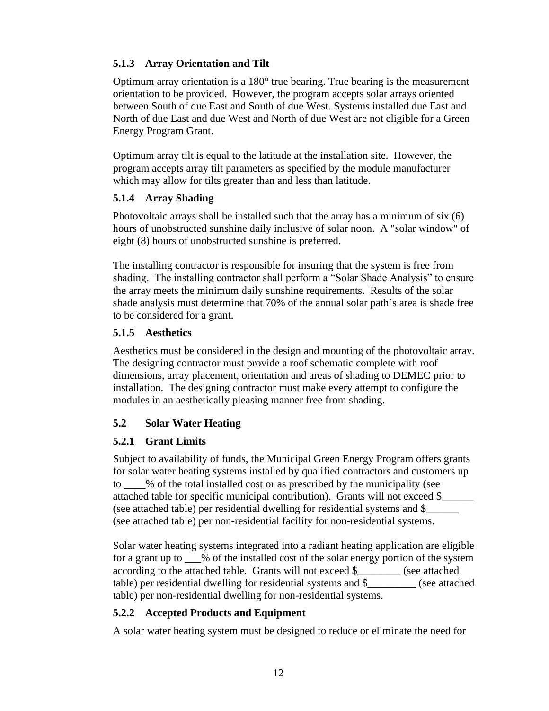# **5.1.3 Array Orientation and Tilt**

Optimum array orientation is a 180° true bearing. True bearing is the measurement orientation to be provided. However, the program accepts solar arrays oriented between South of due East and South of due West. Systems installed due East and North of due East and due West and North of due West are not eligible for a Green Energy Program Grant.

Optimum array tilt is equal to the latitude at the installation site. However, the program accepts array tilt parameters as specified by the module manufacturer which may allow for tilts greater than and less than latitude.

#### **5.1.4 Array Shading**

Photovoltaic arrays shall be installed such that the array has a minimum of six (6) hours of unobstructed sunshine daily inclusive of solar noon. A "solar window" of eight (8) hours of unobstructed sunshine is preferred.

The installing contractor is responsible for insuring that the system is free from shading. The installing contractor shall perform a "Solar Shade Analysis" to ensure the array meets the minimum daily sunshine requirements. Results of the solar shade analysis must determine that 70% of the annual solar path's area is shade free to be considered for a grant.

#### **5.1.5 Aesthetics**

Aesthetics must be considered in the design and mounting of the photovoltaic array. The designing contractor must provide a roof schematic complete with roof dimensions, array placement, orientation and areas of shading to DEMEC prior to installation. The designing contractor must make every attempt to configure the modules in an aesthetically pleasing manner free from shading.

# <span id="page-11-0"></span>**5.2 Solar Water Heating**

# **5.2.1 Grant Limits**

Subject to availability of funds, the Municipal Green Energy Program offers grants for solar water heating systems installed by qualified contractors and customers up to \_\_\_\_% of the total installed cost or as prescribed by the municipality (see attached table for specific municipal contribution). Grants will not exceed \$\_\_\_\_\_\_ (see attached table) per residential dwelling for residential systems and \$\_\_\_\_\_\_ (see attached table) per non-residential facility for non-residential systems.

Solar water heating systems integrated into a radiant heating application are eligible for a grant up to \_\_\_% of the installed cost of the solar energy portion of the system according to the attached table. Grants will not exceed \$\_\_\_\_\_\_\_\_ (see attached table) per residential dwelling for residential systems and \$\_\_\_\_\_\_\_\_\_ (see attached table) per non-residential dwelling for non-residential systems.

# **5.2.2 Accepted Products and Equipment**

A solar water heating system must be designed to reduce or eliminate the need for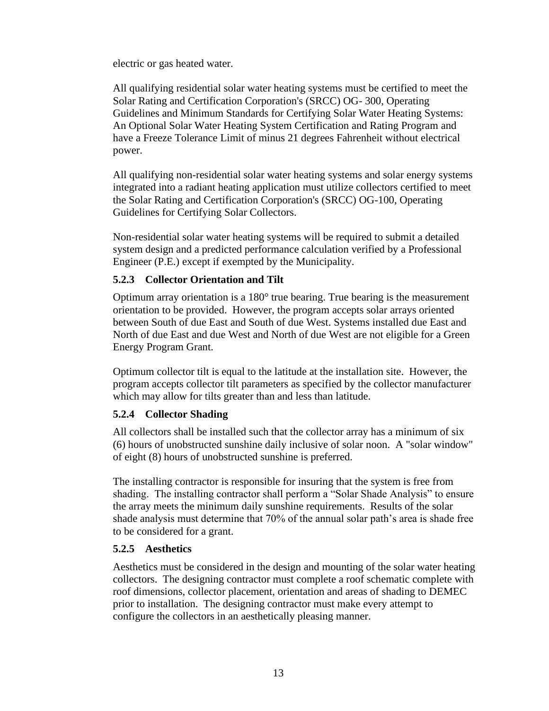electric or gas heated water.

All qualifying residential solar water heating systems must be certified to meet the Solar Rating and Certification Corporation's (SRCC) OG- 300, Operating Guidelines and Minimum Standards for Certifying Solar Water Heating Systems: An Optional Solar Water Heating System Certification and Rating Program and have a Freeze Tolerance Limit of minus 21 degrees Fahrenheit without electrical power.

All qualifying non-residential solar water heating systems and solar energy systems integrated into a radiant heating application must utilize collectors certified to meet the Solar Rating and Certification Corporation's (SRCC) OG-100, Operating Guidelines for Certifying Solar Collectors.

Non-residential solar water heating systems will be required to submit a detailed system design and a predicted performance calculation verified by a Professional Engineer (P.E.) except if exempted by the Municipality.

# **5.2.3 Collector Orientation and Tilt**

Optimum array orientation is a 180° true bearing. True bearing is the measurement orientation to be provided. However, the program accepts solar arrays oriented between South of due East and South of due West. Systems installed due East and North of due East and due West and North of due West are not eligible for a Green Energy Program Grant.

Optimum collector tilt is equal to the latitude at the installation site. However, the program accepts collector tilt parameters as specified by the collector manufacturer which may allow for tilts greater than and less than latitude.

# **5.2.4 Collector Shading**

All collectors shall be installed such that the collector array has a minimum of six (6) hours of unobstructed sunshine daily inclusive of solar noon. A "solar window" of eight (8) hours of unobstructed sunshine is preferred.

The installing contractor is responsible for insuring that the system is free from shading. The installing contractor shall perform a "Solar Shade Analysis" to ensure the array meets the minimum daily sunshine requirements. Results of the solar shade analysis must determine that 70% of the annual solar path's area is shade free to be considered for a grant.

# **5.2.5 Aesthetics**

Aesthetics must be considered in the design and mounting of the solar water heating collectors. The designing contractor must complete a roof schematic complete with roof dimensions, collector placement, orientation and areas of shading to DEMEC prior to installation. The designing contractor must make every attempt to configure the collectors in an aesthetically pleasing manner.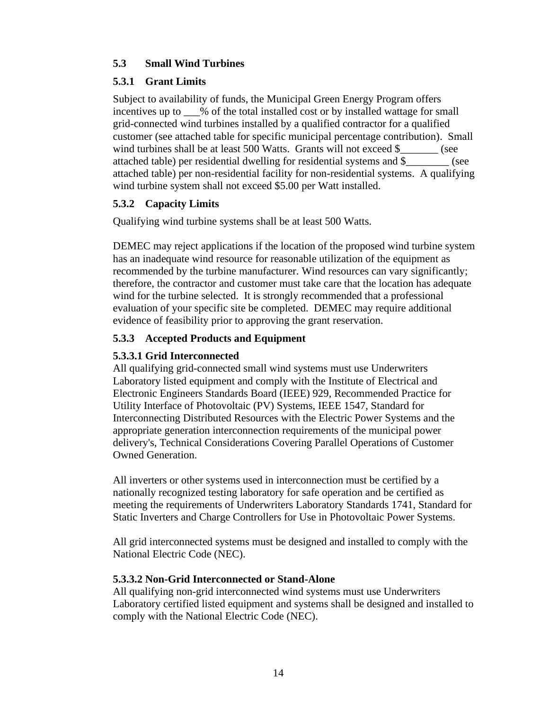# <span id="page-13-0"></span>**5.3 Small Wind Turbines**

# **5.3.1 Grant Limits**

Subject to availability of funds, the Municipal Green Energy Program offers incentives up to \_\_\_% of the total installed cost or by installed wattage for small grid-connected wind turbines installed by a qualified contractor for a qualified customer (see attached table for specific municipal percentage contribution). Small wind turbines shall be at least 500 Watts. Grants will not exceed \$  $(see$ attached table) per residential dwelling for residential systems and \$\_\_\_\_\_\_\_\_ (see attached table) per non-residential facility for non-residential systems. A qualifying wind turbine system shall not exceed \$5.00 per Watt installed.

# **5.3.2 Capacity Limits**

Qualifying wind turbine systems shall be at least 500 Watts.

DEMEC may reject applications if the location of the proposed wind turbine system has an inadequate wind resource for reasonable utilization of the equipment as recommended by the turbine manufacturer. Wind resources can vary significantly; therefore, the contractor and customer must take care that the location has adequate wind for the turbine selected. It is strongly recommended that a professional evaluation of your specific site be completed. DEMEC may require additional evidence of feasibility prior to approving the grant reservation.

# **5.3.3 Accepted Products and Equipment**

# **5.3.3.1 Grid Interconnected**

All qualifying grid-connected small wind systems must use Underwriters Laboratory listed equipment and comply with the Institute of Electrical and Electronic Engineers Standards Board (IEEE) 929, Recommended Practice for Utility Interface of Photovoltaic (PV) Systems, IEEE 1547, Standard for Interconnecting Distributed Resources with the Electric Power Systems and the appropriate generation interconnection requirements of the municipal power delivery's, Technical Considerations Covering Parallel Operations of Customer Owned Generation.

All inverters or other systems used in interconnection must be certified by a nationally recognized testing laboratory for safe operation and be certified as meeting the requirements of Underwriters Laboratory Standards 1741, Standard for Static Inverters and Charge Controllers for Use in Photovoltaic Power Systems.

All grid interconnected systems must be designed and installed to comply with the National Electric Code (NEC).

# **5.3.3.2 Non-Grid Interconnected or Stand-Alone**

All qualifying non-grid interconnected wind systems must use Underwriters Laboratory certified listed equipment and systems shall be designed and installed to comply with the National Electric Code (NEC).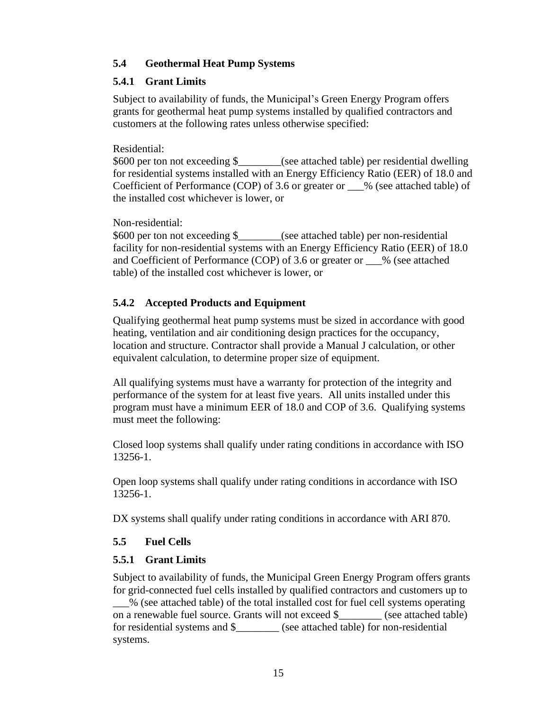# <span id="page-14-0"></span>**5.4 Geothermal Heat Pump Systems**

# **5.4.1 Grant Limits**

Subject to availability of funds, the Municipal's Green Energy Program offers grants for geothermal heat pump systems installed by qualified contractors and customers at the following rates unless otherwise specified:

Residential:

\$600 per ton not exceeding \$\_\_\_\_\_\_\_\_(see attached table) per residential dwelling for residential systems installed with an Energy Efficiency Ratio (EER) of 18.0 and Coefficient of Performance (COP) of 3.6 or greater or \_\_\_% (see attached table) of the installed cost whichever is lower, or

Non-residential:

\$600 per ton not exceeding \$\_\_\_\_\_\_\_\_(see attached table) per non-residential facility for non-residential systems with an Energy Efficiency Ratio (EER) of 18.0 and Coefficient of Performance (COP) of 3.6 or greater or \_\_\_% (see attached table) of the installed cost whichever is lower, or

# **5.4.2 Accepted Products and Equipment**

Qualifying geothermal heat pump systems must be sized in accordance with good heating, ventilation and air conditioning design practices for the occupancy, location and structure. Contractor shall provide a Manual J calculation, or other equivalent calculation, to determine proper size of equipment.

All qualifying systems must have a warranty for protection of the integrity and performance of the system for at least five years. All units installed under this program must have a minimum EER of 18.0 and COP of 3.6. Qualifying systems must meet the following:

Closed loop systems shall qualify under rating conditions in accordance with ISO 13256-1.

Open loop systems shall qualify under rating conditions in accordance with ISO 13256-1.

<span id="page-14-1"></span>DX systems shall qualify under rating conditions in accordance with ARI 870.

# **5.5 Fuel Cells**

# **5.5.1 Grant Limits**

Subject to availability of funds, the Municipal Green Energy Program offers grants for grid-connected fuel cells installed by qualified contractors and customers up to

\_\_\_% (see attached table) of the total installed cost for fuel cell systems operating on a renewable fuel source. Grants will not exceed \$ \_\_\_\_\_\_\_\_ (see attached table) for residential systems and \$\_\_\_\_\_\_\_\_ (see attached table) for non-residential systems.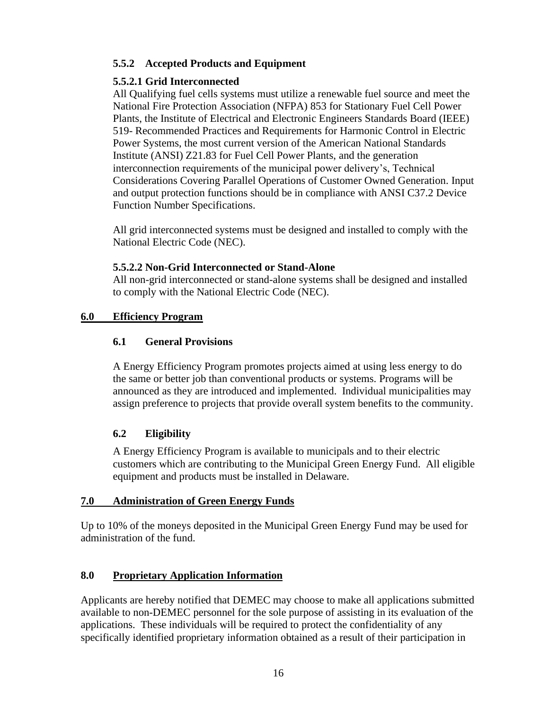# **5.5.2 Accepted Products and Equipment**

# **5.5.2.1 Grid Interconnected**

All Qualifying fuel cells systems must utilize a renewable fuel source and meet the National Fire Protection Association (NFPA) 853 for Stationary Fuel Cell Power Plants, the Institute of Electrical and Electronic Engineers Standards Board (IEEE) 519- Recommended Practices and Requirements for Harmonic Control in Electric Power Systems, the most current version of the American National Standards Institute (ANSI) Z21.83 for Fuel Cell Power Plants, and the generation interconnection requirements of the municipal power delivery's, Technical Considerations Covering Parallel Operations of Customer Owned Generation. Input and output protection functions should be in compliance with ANSI C37.2 Device Function Number Specifications.

All grid interconnected systems must be designed and installed to comply with the National Electric Code (NEC).

# **5.5.2.2 Non-Grid Interconnected or Stand-Alone**

All non-grid interconnected or stand-alone systems shall be designed and installed to comply with the National Electric Code (NEC).

# <span id="page-15-1"></span><span id="page-15-0"></span>**6.0 Efficiency Program**

# **6.1 General Provisions**

A Energy Efficiency Program promotes projects aimed at using less energy to do the same or better job than conventional products or systems. Programs will be announced as they are introduced and implemented. Individual municipalities may assign preference to projects that provide overall system benefits to the community.

# <span id="page-15-2"></span>**6.2 Eligibility**

A Energy Efficiency Program is available to municipals and to their electric customers which are contributing to the Municipal Green Energy Fund. All eligible equipment and products must be installed in Delaware.

# <span id="page-15-3"></span>**7.0 Administration of Green Energy Funds**

Up to 10% of the moneys deposited in the Municipal Green Energy Fund may be used for administration of the fund.

# <span id="page-15-4"></span>**8.0 Proprietary Application Information**

Applicants are hereby notified that DEMEC may choose to make all applications submitted available to non-DEMEC personnel for the sole purpose of assisting in its evaluation of the applications. These individuals will be required to protect the confidentiality of any specifically identified proprietary information obtained as a result of their participation in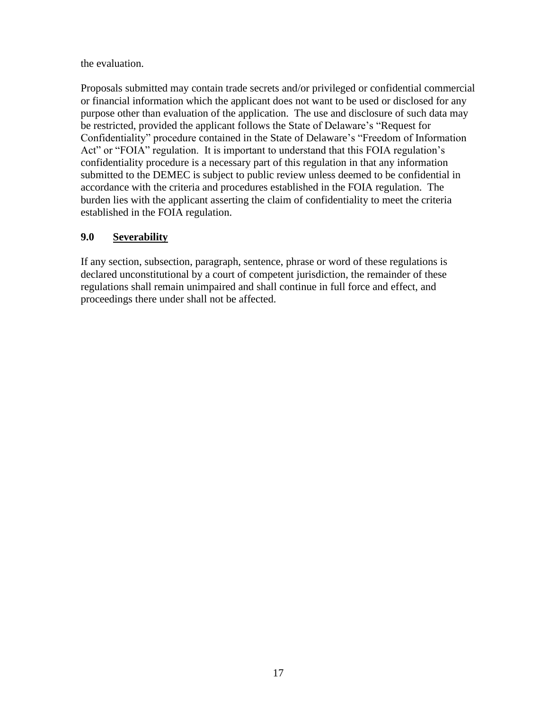the evaluation.

Proposals submitted may contain trade secrets and/or privileged or confidential commercial or financial information which the applicant does not want to be used or disclosed for any purpose other than evaluation of the application. The use and disclosure of such data may be restricted, provided the applicant follows the State of Delaware's "Request for Confidentiality" procedure contained in the State of Delaware's "Freedom of Information Act" or "FOIA" regulation. It is important to understand that this FOIA regulation's confidentiality procedure is a necessary part of this regulation in that any information submitted to the DEMEC is subject to public review unless deemed to be confidential in accordance with the criteria and procedures established in the FOIA regulation. The burden lies with the applicant asserting the claim of confidentiality to meet the criteria established in the FOIA regulation.

# <span id="page-16-0"></span>**9.0 Severability**

If any section, subsection, paragraph, sentence, phrase or word of these regulations is declared unconstitutional by a court of competent jurisdiction, the remainder of these regulations shall remain unimpaired and shall continue in full force and effect, and proceedings there under shall not be affected.